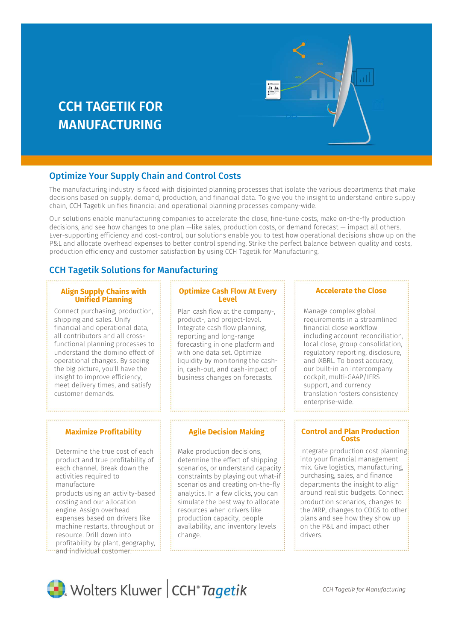# **CCH TAGETIK FOR MANUFACTURING**



## Optimize Your Supply Chain and Control Costs

The manufacturing industry is faced with disjointed planning processes that isolate the various departments that make decisions based on supply, demand, production, and financial data. To give you the insight to understand entire supply chain, CCH Tagetik unifies financial and operational planning processes company-wide.

Our solutions enable manufacturing companies to accelerate the close, fine-tune costs, make on-the-fly production decisions, and see how changes to one plan —like sales, production costs, or demand forecast — impact all others. Ever-supporting efficiency and cost-control, our solutions enable you to test how operational decisions show up on the P&L and allocate overhead expenses to better control spending. Strike the perfect balance between quality and costs, production efficiency and customer satisfaction by using CCH Tagetik for Manufacturing.

# CCH Tagetik Solutions for Manufacturing

#### **Align Supply Chains with Unified Planning**

Connect purchasing, production, shipping and sales. Unify financial and operational data, all contributors and all crossfunctional planning processes to understand the domino effect of operational changes. By seeing the big picture, you'll have the insight to improve efficiency, meet delivery times, and satisfy customer demands.

## **Maximize Profitability**

Determine the true cost of each product and true profitability of each channel. Break down the activities required to manufacture products using an activity-based costing and our allocation engine. Assign overhead expenses based on drivers like machine restarts, throughput or resource. Drill down into profitability by plant, geography, and individual customer."

## **Optimize Cash Flow At Every Level**

Plan cash flow at the company-, product-, and project-level. Integrate cash flow planning, reporting and long-range forecasting in one platform and with one data set. Optimize liquidity by monitoring the cashin, cash-out, and cash-impact of business changes on forecasts.

### **Agile Decision Making**

Make production decisions, determine the effect of shipping scenarios, or understand capacity constraints by playing out what-if scenarios and creating on-the-fly analytics. In a few clicks, you can simulate the best way to allocate resources when drivers like production capacity, people availability, and inventory levels change.

### **Accelerate the Close**

Manage complex global requirements in a streamlined financial close workflow including account reconciliation, local close, group consolidation, regulatory reporting, disclosure, and iXBRL. To boost accuracy, our built-in an intercompany cockpit, multi-GAAP/IFRS support, and currency translation fosters consistency enterprise-wide.

#### **Control and Plan Production Costs**

Integrate production cost planning: into your financial management mix. Give logistics, manufacturing, purchasing, sales, and finance departments the insight to align around realistic budgets. Connect production scenarios, changes to the MRP, changes to COGS to other: plans and see how they show up on the P&L and impact other drivers.